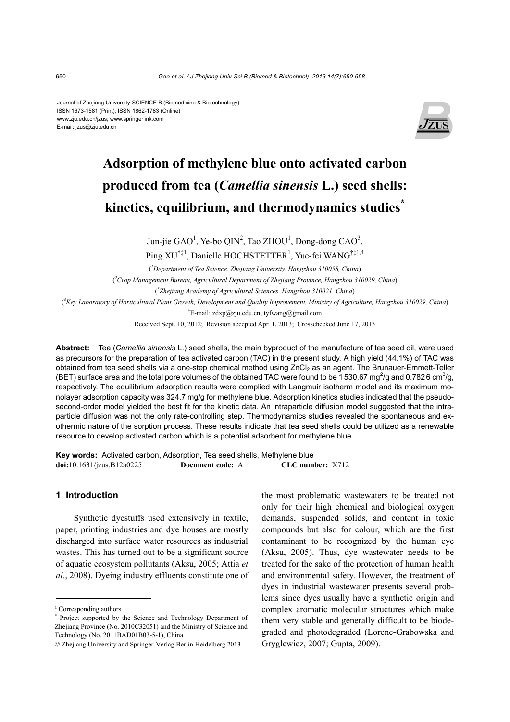Journal of Zhejiang University-SCIENCE B (Biomedicine & Biotechnology) ISSN 1673-1581 (Print); ISSN 1862-1783 (Online) www.zju.edu.cn/jzus; www.springerlink.com E-mail: jzus@zju.edu.cn



# **Adsorption of methylene blue onto activated carbon produced from tea (***Camellia sinensis* **L.) seed shells: kinetics, equilibrium, and thermodynamics studies\***

Jun-jie  $GAO<sup>1</sup>$ , Ye-bo QIN<sup>2</sup>, Tao ZHOU<sup>1</sup>, Dong-dong CAO<sup>3</sup>,

Ping XU<sup>†‡1</sup>, Danielle HOCHSTETTER<sup>1</sup>, Yue-fei WANG<sup>†‡1,4</sup>

( *1 Department of Tea Science, Zhejiang University, Hangzhou 310058, China*)

( *2 Crop Management Bureau, Agricultural Department of Zhejiang Province, Hangzhou 310029, China*)

( *3 Zhejiang Academy of Agricultural Sciences, Hangzhou 310021, China*)

( *4 Key Laboratory of Horticultural Plant Growth, Development and Quality Improvement, Ministry of Agriculture, Hangzhou 310029, China*)

† E-mail: zdxp@zju.edu.cn; tyfwang@gmail.com

Received Sept. 10, 2012; Revision accepted Apr. 1, 2013; Crosschecked June 17, 2013

**Abstract:** Tea (*Camellia sinensis* L.) seed shells, the main byproduct of the manufacture of tea seed oil, were used as precursors for the preparation of tea activated carbon (TAC) in the present study. A high yield (44.1%) of TAC was obtained from tea seed shells via a one-step chemical method using ZnCl<sub>2</sub> as an agent. The Brunauer-Emmett-Teller (BET) surface area and the total pore volumes of the obtained TAC were found to be 1530.67 mg<sup>2</sup>/g and 0.7826 cm<sup>3</sup>/g, respectively. The equilibrium adsorption results were complied with Langmuir isotherm model and its maximum monolayer adsorption capacity was 324.7 mg/g for methylene blue. Adsorption kinetics studies indicated that the pseudosecond-order model yielded the best fit for the kinetic data. An intraparticle diffusion model suggested that the intraparticle diffusion was not the only rate-controlling step. Thermodynamics studies revealed the spontaneous and exothermic nature of the sorption process. These results indicate that tea seed shells could be utilized as a renewable resource to develop activated carbon which is a potential adsorbent for methylene blue.

**Key words:** Activated carbon, Adsorption, Tea seed shells, Methylene blue **doi:**10.1631/jzus.B12a0225 **Document code:** A **CLC number:** X712

# **1 Introduction**

Synthetic dyestuffs used extensively in textile, paper, printing industries and dye houses are mostly discharged into surface water resources as industrial wastes. This has turned out to be a significant source of aquatic ecosystem pollutants (Aksu, 2005; Attia *et al.*, 2008). Dyeing industry effluents constitute one of the most problematic wastewaters to be treated not only for their high chemical and biological oxygen demands, suspended solids, and content in toxic compounds but also for colour, which are the first contaminant to be recognized by the human eye (Aksu, 2005). Thus, dye wastewater needs to be treated for the sake of the protection of human health and environmental safety. However, the treatment of dyes in industrial wastewater presents several problems since dyes usually have a synthetic origin and complex aromatic molecular structures which make them very stable and generally difficult to be biodegraded and photodegraded (Lorenc-Grabowska and Gryglewicz, 2007; Gupta, 2009).

<sup>‡</sup> Corresponding authors

<sup>\*</sup> Project supported by the Science and Technology Department of Zhejiang Province (No. 2010C32051) and the Ministry of Science and Technology (No. 2011BAD01B03-5-1), China

<sup>©</sup> Zhejiang University and Springer-Verlag Berlin Heidelberg 2013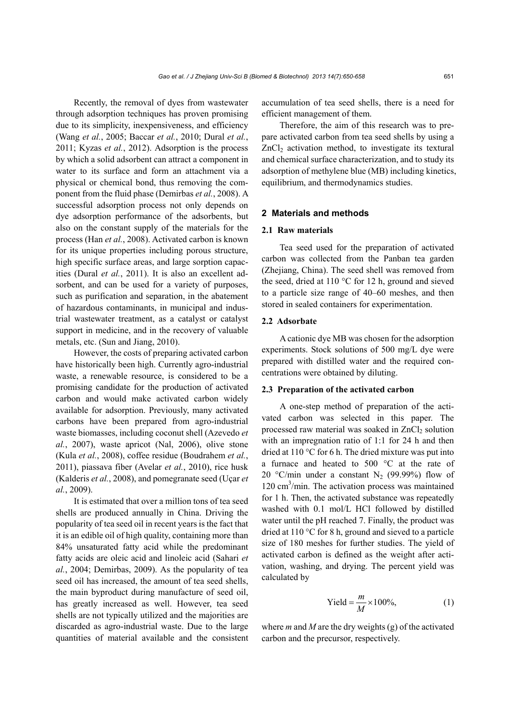Recently, the removal of dyes from wastewater through adsorption techniques has proven promising due to its simplicity, inexpensiveness, and efficiency (Wang *et al.*, 2005; Baccar *et al.*, 2010; Dural *et al.*, 2011; Kyzas *et al.*, 2012). Adsorption is the process by which a solid adsorbent can attract a component in water to its surface and form an attachment via a physical or chemical bond, thus removing the component from the fluid phase (Demirbas *et al.*, 2008). A successful adsorption process not only depends on dye adsorption performance of the adsorbents, but also on the constant supply of the materials for the process (Han *et al.*, 2008). Activated carbon is known for its unique properties including porous structure, high specific surface areas, and large sorption capacities (Dural *et al.*, 2011). It is also an excellent adsorbent, and can be used for a variety of purposes, such as purification and separation, in the abatement of hazardous contaminants, in municipal and industrial wastewater treatment, as a catalyst or catalyst support in medicine, and in the recovery of valuable metals, etc. (Sun and Jiang, 2010).

However, the costs of preparing activated carbon have historically been high. Currently agro-industrial waste, a renewable resource, is considered to be a promising candidate for the production of activated carbon and would make activated carbon widely available for adsorption. Previously, many activated carbons have been prepared from agro-industrial waste biomasses, including coconut shell (Azevedo *et al.*, 2007), waste apricot (Nal, 2006), olive stone (Kula *et al.*, 2008), coffee residue (Boudrahem *et al.*, 2011), piassava fiber (Avelar *et al.*, 2010), rice husk (Kalderis *et al.*, 2008), and pomegranate seed (Uçar *et al.*, 2009).

It is estimated that over a million tons of tea seed shells are produced annually in China. Driving the popularity of tea seed oil in recent years is the fact that it is an edible oil of high quality, containing more than 84% unsaturated fatty acid while the predominant fatty acids are oleic acid and linoleic acid (Sahari *et al.*, 2004; Demirbas, 2009). As the popularity of tea seed oil has increased, the amount of tea seed shells, the main byproduct during manufacture of seed oil, has greatly increased as well. However, tea seed shells are not typically utilized and the majorities are discarded as agro-industrial waste. Due to the large quantities of material available and the consistent accumulation of tea seed shells, there is a need for efficient management of them.

Therefore, the aim of this research was to prepare activated carbon from tea seed shells by using a  $ZnCl<sub>2</sub>$  activation method, to investigate its textural and chemical surface characterization, and to study its adsorption of methylene blue (MB) including kinetics, equilibrium, and thermodynamics studies.

## **2 Materials and methods**

#### **2.1 Raw materials**

Tea seed used for the preparation of activated carbon was collected from the Panban tea garden (Zhejiang, China). The seed shell was removed from the seed, dried at 110 °C for 12 h, ground and sieved to a particle size range of 40–60 meshes, and then stored in sealed containers for experimentation.

## **2.2 Adsorbate**

A cationic dye MB was chosen for the adsorption experiments. Stock solutions of 500 mg/L dye were prepared with distilled water and the required concentrations were obtained by diluting.

# **2.3 Preparation of the activated carbon**

A one-step method of preparation of the activated carbon was selected in this paper. The processed raw material was soaked in  $ZnCl<sub>2</sub>$  solution with an impregnation ratio of 1:1 for 24 h and then dried at 110 °C for 6 h. The dried mixture was put into a furnace and heated to 500 °C at the rate of 20 °C/min under a constant N<sub>2</sub> (99.99%) flow of 120 cm<sup>3</sup>/min. The activation process was maintained for 1 h. Then, the activated substance was repeatedly washed with 0.1 mol/L HCl followed by distilled water until the pH reached 7. Finally, the product was dried at 110 °C for 8 h, ground and sieved to a particle size of 180 meshes for further studies. The yield of activated carbon is defined as the weight after activation, washing, and drying. The percent yield was calculated by

$$
Yield = \frac{m}{M} \times 100\%,\tag{1}
$$

where *m* and *M* are the dry weights (g) of the activated carbon and the precursor, respectively.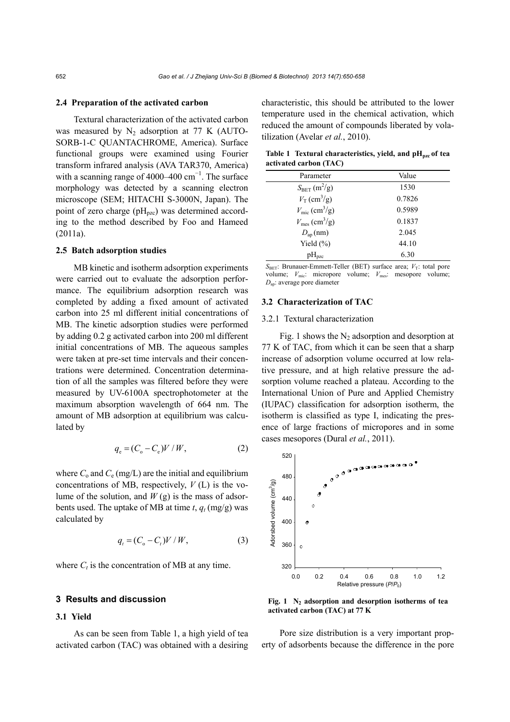#### **2.4 Preparation of the activated carbon**

Textural characterization of the activated carbon was measured by  $N_2$  adsorption at 77 K (AUTO-SORB-1-C QUANTACHROME, America). Surface functional groups were examined using Fourier transform infrared analysis (AVA TAR370, America) with a scanning range of 4000–400  $\text{cm}^{-1}$ . The surface morphology was detected by a scanning electron microscope (SEM; HITACHI S-3000N, Japan). The point of zero charge  $(pH_{pzc})$  was determined according to the method described by Foo and Hameed (2011a).

# **2.5 Batch adsorption studies**

MB kinetic and isotherm adsorption experiments were carried out to evaluate the adsorption performance. The equilibrium adsorption research was completed by adding a fixed amount of activated carbon into 25 ml different initial concentrations of MB. The kinetic adsorption studies were performed by adding 0.2 g activated carbon into 200 ml different initial concentrations of MB. The aqueous samples were taken at pre-set time intervals and their concentrations were determined. Concentration determination of all the samples was filtered before they were measured by UV-6100A spectrophotometer at the maximum absorption wavelength of 664 nm. The amount of MB adsorption at equilibrium was calculated by

$$
q_e = (C_o - C_e)V/W, \t\t(2)
$$

where  $C_0$  and  $C_e$  (mg/L) are the initial and equilibrium concentrations of MB, respectively, *V* (L) is the volume of the solution, and *W* (g) is the mass of adsorbents used. The uptake of MB at time  $t$ ,  $q_t$  (mg/g) was calculated by

$$
q_t = (C_o - C_t)V/W, \t\t(3)
$$

where  $C_t$  is the concentration of MB at any time.

## **3 Results and discussion**

# **3.1 Yield**

As can be seen from Table 1, a high yield of tea activated carbon (TAC) was obtained with a desiring

characteristic, this should be attributed to the lower temperature used in the chemical activation, which reduced the amount of compounds liberated by volatilization (Avelar *et al.*, 2010).

Table 1 Textural characteristics, yield, and pH<sub>pzc</sub> of tea **activated carbon (TAC)** 

| Parameter                                         | Value  |
|---------------------------------------------------|--------|
| $S_{\text{BET}}$ (m <sup>2</sup> /g)              | 1530   |
| $V_T$ (cm <sup>3</sup> /g)                        | 0.7826 |
| $V_{\text{mic}}$ (cm <sup>3</sup> /g)             | 0.5989 |
| $V_{\text{mes}}\left(\text{cm}^3/\text{g}\right)$ | 0.1837 |
| $D_{\rm ap}$ (nm)                                 | 2.045  |
| Yield $(\% )$                                     | 44.10  |
| $\rm{pH}_{\rm{pzc}}$                              | 6.30   |

 $S_{\text{BET}}$ : Brunauer-Emmett-Teller (BET) surface area;  $V_T$ : total pore volume;  $V_{\text{mic}}$ : micropore volume;  $V_{\text{mes}}$ : mesopore volume; *D*ap: average pore diameter

#### **3.2 Characterization of TAC**

#### 3.2.1 Textural characterization

Fig. 1 shows the  $N_2$  adsorption and desorption at 77 K of TAC, from which it can be seen that a sharp increase of adsorption volume occurred at low relative pressure, and at high relative pressure the adsorption volume reached a plateau. According to the International Union of Pure and Applied Chemistry (IUPAC) classification for adsorption isotherm, the isotherm is classified as type I, indicating the presence of large fractions of micropores and in some cases mesopores (Dural *et al.*, 2011).



Fig. 1 N<sub>2</sub> adsorption and desorption isotherms of tea

Pore size distribution is a very important property of adsorbents because the difference in the pore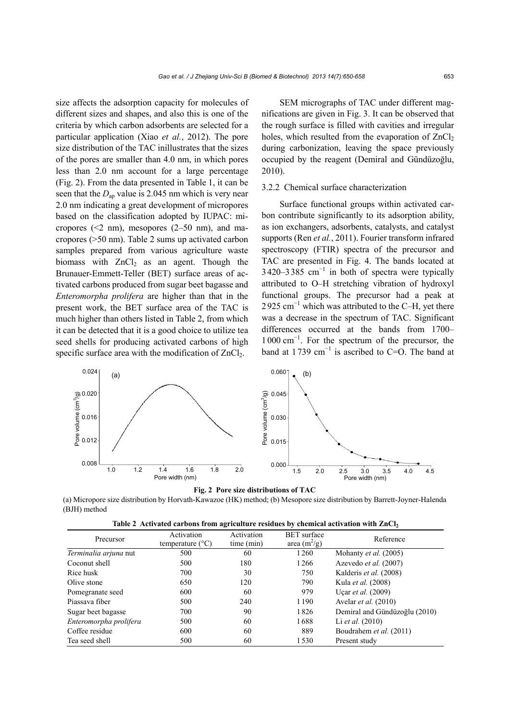size affects the adsorption capacity for molecules of different sizes and shapes, and also this is one of the criteria by which carbon adsorbents are selected for a particular application (Xiao *et al.*, 2012). The pore size distribution of the TAC inillustrates that the sizes of the pores are smaller than 4.0 nm, in which pores less than 2.0 nm account for a large percentage (Fig. 2). From the data presented in Table 1, it can be seen that the  $D_{\text{an}}$  value is 2.045 nm which is very near 2.0 nm indicating a great development of micropores based on the classification adopted by IUPAC: micropores  $(\leq 2$  nm), mesopores  $(2-50 \text{ nm})$ , and macropores (>50 nm). Table 2 sums up activated carbon samples prepared from various agriculture waste biomass with  $ZnCl<sub>2</sub>$  as an agent. Though the Brunauer-Emmett-Teller (BET) surface areas of activated carbons produced from sugar beet bagasse and *Enteromorpha prolifera* are higher than that in the present work, the BET surface area of the TAC is much higher than others listed in Table 2, from which it can be detected that it is a good choice to utilize tea seed shells for producing activated carbons of high specific surface area with the modification of  $ZnCl<sub>2</sub>$ .

SEM micrographs of TAC under different magnifications are given in Fig. 3. It can be observed that the rough surface is filled with cavities and irregular holes, which resulted from the evaporation of  $ZnCl<sub>2</sub>$ during carbonization, leaving the space previously occupied by the reagent (Demiral and Gündüzoğlu, 2010).

## 3.2.2 Chemical surface characterization

Surface functional groups within activated carbon contribute significantly to its adsorption ability, as ion exchangers, adsorbents, catalysts, and catalyst supports (Ren *et al.*, 2011). Fourier transform infrared spectroscopy (FTIR) spectra of the precursor and TAC are presented in Fig. 4. The bands located at  $3420-3385$  cm<sup>-1</sup> in both of spectra were typically attributed to O–H stretching vibration of hydroxyl functional groups. The precursor had a peak at 2925 cm<sup>-1</sup> which was attributed to the C–H, yet there was a decrease in the spectrum of TAC. Significant differences occurred at the bands from 1700– 1000 cm<sup>−</sup><sup>1</sup> . For the spectrum of the precursor, the band at 1739  $cm^{-1}$  is ascribed to C=O. The band at





(a) Micropore size distribution by Horvath-Kawazoe (HK) method; (b) Mesopore size distribution by Barrett-Joyner-Halenda (BJH) method

| Table 2 Activated carbons from agriculture residues by chemical activation with $ZnCl2$ |  |
|-----------------------------------------------------------------------------------------|--|
|                                                                                         |  |

| Precursor              | Activation<br>temperature $(^{\circ}C)$ | Activation<br>time (min) | <b>BET</b> surface<br>area $(m^2/g)$ | Reference                     |
|------------------------|-----------------------------------------|--------------------------|--------------------------------------|-------------------------------|
| Terminalia arjuna nut  | 500                                     | 60                       | 1260                                 | Mohanty et al. (2005)         |
| Coconut shell          | 500                                     | 180                      | 1266                                 | Azevedo et al. (2007)         |
| Rice husk              | 700                                     | 30                       | 750                                  | Kalderis et al. (2008)        |
| Olive stone            | 650                                     | 120                      | 790                                  | Kula <i>et al.</i> (2008)     |
| Pomegranate seed       | 600                                     | 60                       | 979                                  | Uçar <i>et al.</i> $(2009)$   |
| Piassava fiber         | 500                                     | 240                      | 1190                                 | Avelar <i>et al.</i> (2010)   |
| Sugar beet bagasse     | 700                                     | 90                       | 1826                                 | Demiral and Gündüzoğlu (2010) |
| Enteromorpha prolifera | 500                                     | 60                       | 1688                                 | Li <i>et al.</i> $(2010)$     |
| Coffee residue         | 600                                     | 60                       | 889                                  | Boudrahem et al. (2011)       |
| Tea seed shell         | 500                                     | 60                       | 1530                                 | Present study                 |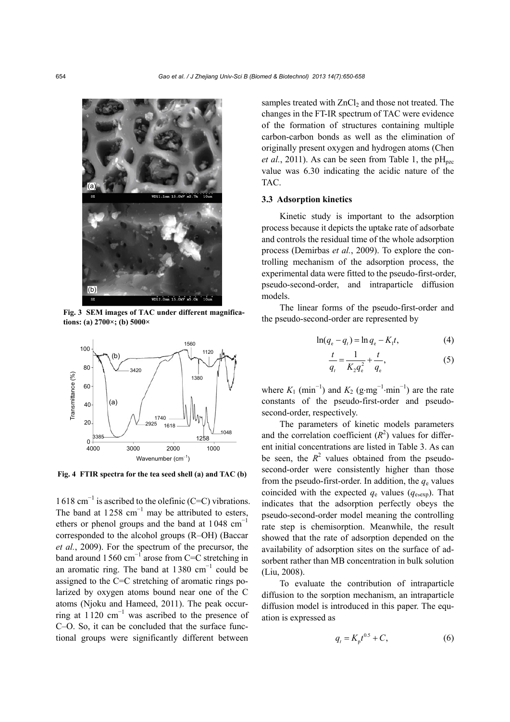

**Fig. 3 SEM images of TAC under different magnifications: (a) 2700×; (b) 5000×** 



1618 cm<sup>−</sup><sup>1</sup> is ascribed to the olefinic (C=C) vibrations. The band at  $1258 \text{ cm}^{-1}$  may be attributed to esters, ethers or phenol groups and the band at  $1048 \text{ cm}^{-1}$ corresponded to the alcohol groups (R–OH) (Baccar *et al.*, 2009). For the spectrum of the precursor, the band around 1560 cm<sup>-1</sup> arose from C=C stretching in an aromatic ring. The band at  $1380 \text{ cm}^{-1}$  could be assigned to the C=C stretching of aromatic rings polarized by oxygen atoms bound near one of the C atoms (Njoku and Hameed, 2011). The peak occurring at  $1120 \text{ cm}^{-1}$  was ascribed to the presence of C–O. So, it can be concluded that the surface functional groups were significantly different between

samples treated with  $ZnCl<sub>2</sub>$  and those not treated. The changes in the FT-IR spectrum of TAC were evidence of the formation of structures containing multiple carbon-carbon bonds as well as the elimination of originally present oxygen and hydrogen atoms (Chen *et al.*, 2011). As can be seen from Table 1, the  $pH<sub>nzc</sub>$ value was 6.30 indicating the acidic nature of the TAC.

#### **3.3 Adsorption kinetics**

Kinetic study is important to the adsorption process because it depicts the uptake rate of adsorbate and controls the residual time of the whole adsorption process (Demirbas *et al.*, 2009). To explore the controlling mechanism of the adsorption process, the experimental data were fitted to the pseudo-first-order, pseudo-second-order, and intraparticle diffusion models.

The linear forms of the pseudo-first-order and the pseudo-second-order are represented by

$$
\ln(q_{\rm e} - q_t) = \ln q_{\rm e} - K_{\rm i}t,\tag{4}
$$

$$
\frac{t}{q_t} = \frac{1}{K_2 q_e^2} + \frac{t}{q_e},
$$
\n(5)

where  $K_1$  (min<sup>-1</sup>) and  $K_2$  (g·mg<sup>-1</sup>·min<sup>-1</sup>) are the rate constants of the pseudo-first-order and pseudosecond-order, respectively.

The parameters of kinetic models parameters and the correlation coefficient  $(R^2)$  values for different initial concentrations are listed in Table 3. As can be seen, the  $R^2$  values obtained from the pseudosecond-order were consistently higher than those from the pseudo-first-order. In addition, the  $q_e$  values coincided with the expected  $q_e$  values ( $q_{e,exp}$ ). That indicates that the adsorption perfectly obeys the pseudo-second-order model meaning the controlling rate step is chemisorption. Meanwhile, the result showed that the rate of adsorption depended on the availability of adsorption sites on the surface of adsorbent rather than MB concentration in bulk solution (Liu, 2008).

To evaluate the contribution of intraparticle diffusion to the sorption mechanism, an intraparticle diffusion model is introduced in this paper. The equation is expressed as

$$
q_t = K_p t^{0.5} + C,\t\t(6)
$$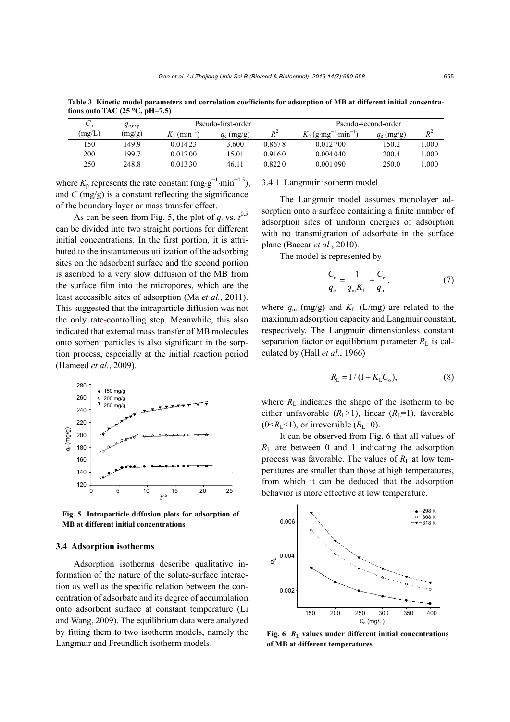| ັດ     | $q_{e,exp}$ | Pseudo-first-order         |              |         | Pseudo-second-order                          |              |       |
|--------|-------------|----------------------------|--------------|---------|----------------------------------------------|--------------|-------|
| (mg/L) | (mg/g)      | $K_1$ (min <sup>-1</sup> ) | $q_e$ (mg/g) | $R^2$   | $K_2$ (g·mg <sup>-1</sup> ·min <sup>-1</sup> | $q_e$ (mg/g) | $R^2$ |
| 150    | 1499        | 0.014.23                   | 3.600        | 0.8678  | 0.012700                                     | 150.2        | .000  |
| 200    | 199.7       | 0.01700                    | 15.01        | 0.9160  | 0.004040                                     | 200.4        | .000  |
| 250    | 248.8       | 0.01330                    | 46.11        | 0.822.0 | 0.001 090                                    | 250.0        | .000  |

**Table 3 Kinetic model parameters and correlation coefficients for adsorption of MB at different initial concentrations onto TAC (25 °C, pH=7.5)**

where  $K_p$  represents the rate constant (mg·g<sup>-1</sup>·min<sup>-0.5</sup>), and *C* (mg/g) is a constant reflecting the significance of the boundary layer or mass transfer effect.

As can be seen from Fig. 5, the plot of  $q_t$  vs.  $t^{0.5}$ can be divided into two straight portions for different initial concentrations. In the first portion, it is attributed to the instantaneous utilization of the adsorbing sites on the adsorbent surface and the second portion is ascribed to a very slow diffusion of the MB from the surface film into the micropores, which are the least accessible sites of adsorption (Ma *et al.*, 2011). This suggested that the intraparticle diffusion was not the only rate-controlling step. Meanwhile, this also indicated that external mass transfer of MB molecules onto sorbent particles is also significant in the sorption process, especially at the initial reaction period (Hameed *et al.*, 2009).



**Fig. 5 Intraparticle diffusion plots for adsorption of MB at different initial concentrations**

#### **3.4 Adsorption isotherms**

Adsorption isotherms describe qualitative information of the nature of the solute-surface interaction as well as the specific relation between the concentration of adsorbate and its degree of accumulation onto adsorbent surface at constant temperature (Li and Wang, 2009). The equilibrium data were analyzed by fitting them to two isotherm models, namely the Langmuir and Freundlich isotherm models.

#### 3.4.1 Langmuir isotherm model

The Langmuir model assumes monolayer adsorption onto a surface containing a finite number of adsorption sites of uniform energies of adsorption with no transmigration of adsorbate in the surface plane (Baccar *et al.*, 2010).

The model is represented by

$$
\frac{C_{\rm e}}{q_{\rm e}} = \frac{1}{q_{\rm m}K_{\rm L}} + \frac{C_{\rm e}}{q_{\rm m}},\tag{7}
$$

where  $q_m$  (mg/g) and  $K_L$  (L/mg) are related to the maximum adsorption capacity and Langmuir constant, respectively. The Langmuir dimensionless constant separation factor or equilibrium parameter  $R_L$  is calculated by (Hall *et al.*, 1966)

$$
R_{\rm L} = 1/(1 + K_{\rm L} C_{\rm o}),\tag{8}
$$

where  $R_L$  indicates the shape of the isotherm to be either unfavorable  $(R_L>1)$ , linear  $(R_L=1)$ , favorable  $(0 \le R<sub>L</sub> \le 1)$ , or irreversible  $(R<sub>L</sub>=0)$ .

It can be observed from Fig. 6 that all values of  $R_{\text{L}}$  are between 0 and 1 indicating the adsorption process was favorable. The values of  $R_L$  at low temperatures are smaller than those at high temperatures, from which it can be deduced that the adsorption behavior is more effective at low temperature.



**Fig. 6** *R***L values under different initial concentrations of MB at different temperatures**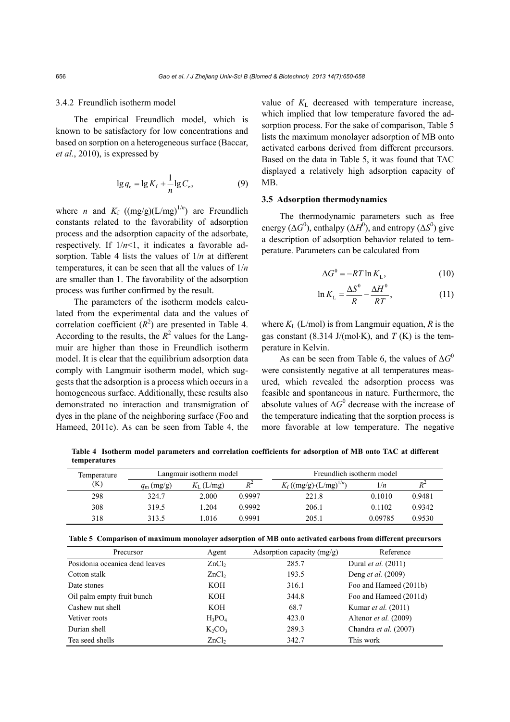#### 3.4.2 Freundlich isotherm model

The empirical Freundlich model, which is known to be satisfactory for low concentrations and based on sorption on a heterogeneous surface (Baccar, *et al.*, 2010), is expressed by

$$
\lg q_{\rm e} = \lg K_{\rm f} + \frac{1}{n} \lg C_{\rm e},\tag{9}
$$

where *n* and  $K_f$  ((mg/g)(L/mg)<sup>1/*n*</sup>) are Freundlich constants related to the favorability of adsorption process and the adsorption capacity of the adsorbate, respectively. If  $1/n<1$ , it indicates a favorable adsorption. Table 4 lists the values of 1/*n* at different temperatures, it can be seen that all the values of 1/*n* are smaller than 1. The favorability of the adsorption process was further confirmed by the result.

The parameters of the isotherm models calculated from the experimental data and the values of correlation coefficient  $(R^2)$  are presented in Table 4. According to the results, the  $R^2$  values for the Langmuir are higher than those in Freundlich isotherm model. It is clear that the equilibrium adsorption data comply with Langmuir isotherm model, which suggests that the adsorption is a process which occurs in a homogeneous surface. Additionally, these results also demonstrated no interaction and transmigration of dyes in the plane of the neighboring surface (Foo and Hameed, 2011c). As can be seen from Table 4, the

value of  $K<sub>L</sub>$  decreased with temperature increase, which implied that low temperature favored the adsorption process. For the sake of comparison, Table 5 lists the maximum monolayer adsorption of MB onto activated carbons derived from different precursors. Based on the data in Table 5, it was found that TAC displayed a relatively high adsorption capacity of MB.

#### **3.5 Adsorption thermodynamics**

The thermodynamic parameters such as free energy ( $\Delta G^0$ ), enthalpy ( $\Delta H^0$ ), and entropy ( $\Delta S^0$ ) give a description of adsorption behavior related to temperature. Parameters can be calculated from

$$
\Delta G^0 = -RT \ln K_L,\tag{10}
$$

$$
\ln K_{\rm L} = \frac{\Delta S^0}{R} - \frac{\Delta H^0}{RT},\tag{11}
$$

where  $K_L$  (L/mol) is from Langmuir equation, *R* is the gas constant  $(8.314 \text{ J/(mol·K)})$ , and  $T(K)$  is the temperature in Kelvin.

As can be seen from Table 6, the values of  $\Delta G^0$ were consistently negative at all temperatures measured, which revealed the adsorption process was feasible and spontaneous in nature. Furthermore, the absolute values of  $\Delta G^0$  decrease with the increase of the temperature indicating that the sorption process is more favorable at low temperature. The negative

**Table 4 Isotherm model parameters and correlation coefficients for adsorption of MB onto TAC at different temperatures** 

| Temperature |                    | Langmuir isotherm model |        | Freundlich isotherm model       |         |        |
|-------------|--------------------|-------------------------|--------|---------------------------------|---------|--------|
| (K)         | $q_{\rm m}$ (mg/g) | $K_{\text{L}}$ (L/mg)   | $R^2$  | $K_f((mg/g)\cdot (L/mg)^{1/n})$ | 1/n     | $R^2$  |
| 298         | 324.7              | 2.000                   | 0.9997 | 221.8                           | 0.1010  | 0.9481 |
| 308         | 319.5              | .204                    | 0.9992 | 206.1                           | 0.1102  | 0.9342 |
| 318         | 313.5              | .016                    | 0.9991 | 205.1                           | 0.09785 | 0.9530 |

|  |  | Table 5 Comparison of maximum monolayer adsorption of MB onto activated carbons from different precursors |  |
|--|--|-----------------------------------------------------------------------------------------------------------|--|
|  |  |                                                                                                           |  |

| Precursor                      | Agent             | Adsorption capacity $(mg/g)$ | Reference                      |
|--------------------------------|-------------------|------------------------------|--------------------------------|
| Posidonia oceanica dead leaves | ZnCl <sub>2</sub> | 285.7                        | Dural et al. $(2011)$          |
| Cotton stalk                   | ZnCl <sub>2</sub> | 193.5                        | Deng <i>et al.</i> (2009)      |
| Date stones                    | KOH               | 316.1                        | Foo and Hameed (2011b)         |
| Oil palm empty fruit bunch     | KOH               | 344.8                        | Foo and Hameed (2011d)         |
| Cashew nut shell               | KOH               | 68.7                         | Kumar <i>et al.</i> (2011)     |
| Vetiver roots                  | $H_3PO_4$         | 423.0                        | Altenor <i>et al.</i> (2009)   |
| Durian shell                   | $K_2CO_3$         | 289.3                        | Chandra <i>et al.</i> $(2007)$ |
| Tea seed shells                | ZnCl <sub>2</sub> | 342.7                        | This work                      |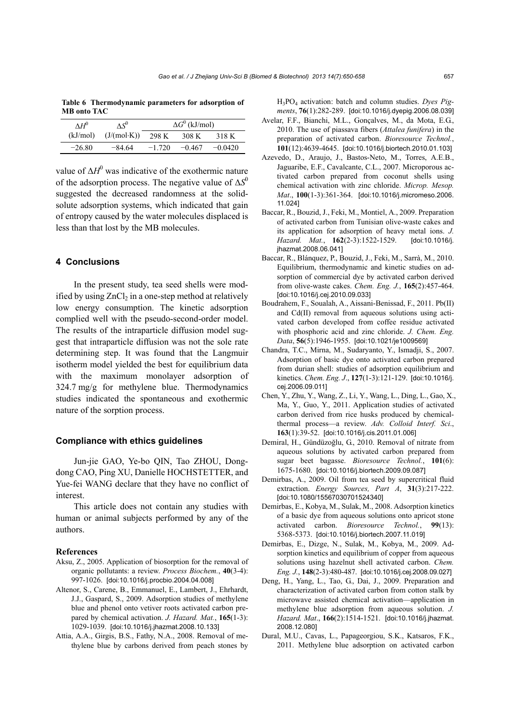| $\wedge H^0$ | $\Lambda S^0$ |          | $\Delta G^0$ (kJ/mol) |           |
|--------------|---------------|----------|-----------------------|-----------|
| (kJ/mol)     | (J/(mol·K))   | 298 K    | 308 K                 | 318 K     |
| $-26.80$     | $-84.64$      | $-1.720$ | $-0.467$              | $-0.0420$ |

**Table 6 Thermodynamic parameters for adsorption of MB onto TAC**

value of  $\Delta H^0$  was indicative of the exothermic nature of the adsorption process. The negative value of Δ*S*<sup>0</sup> suggested the decreased randomness at the solidsolute adsorption systems, which indicated that gain of entropy caused by the water molecules displaced is less than that lost by the MB molecules.

## **4 Conclusions**

In the present study, tea seed shells were modified by using  $ZnCl<sub>2</sub>$  in a one-step method at relatively low energy consumption. The kinetic adsorption complied well with the pseudo-second-order model. The results of the intraparticle diffusion model suggest that intraparticle diffusion was not the sole rate determining step. It was found that the Langmuir isotherm model yielded the best for equilibrium data with the maximum monolayer adsorption of 324.7 mg/g for methylene blue. Thermodynamics studies indicated the spontaneous and exothermic nature of the sorption process.

# **Compliance with ethics guidelines**

Jun-jie GAO, Ye-bo QIN, Tao ZHOU, Dongdong CAO, Ping XU, Danielle HOCHSTETTER, and Yue-fei WANG declare that they have no conflict of interest.

This article does not contain any studies with human or animal subjects performed by any of the authors.

#### **References**

- Aksu, Z., 2005. Application of biosorption for the removal of organic pollutants: a review. *Process Biochem.*, **40**(3-4): 997-1026. [doi:10.1016/j.procbio.2004.04.008]
- Altenor, S., Carene, B., Emmanuel, E., Lambert, J., Ehrhardt, J.J., Gaspard, S., 2009. Adsorption studies of methylene blue and phenol onto vetiver roots activated carbon prepared by chemical activation. *J. Hazard. Mat.*, **165**(1-3): 1029-1039. [doi:10.1016/j.jhazmat.2008.10.133]
- Attia, A.A., Girgis, B.S., Fathy, N.A., 2008. Removal of methylene blue by carbons derived from peach stones by

H3PO4 activation: batch and column studies. *Dyes Pigments*, **76**(1):282-289. [doi:10.1016/j.dyepig.2006.08.039]

- Avelar, F.F., Bianchi, M.L., Gonçalves, M., da Mota, E.G., 2010. The use of piassava fibers (*Attalea funifera*) in the preparation of activated carbon. *Bioresource Technol.*, **101**(12):4639-4645. [doi:10.1016/j.biortech.2010.01.103]
- Azevedo, D., Araujo, J., Bastos-Neto, M., Torres, A.E.B., Jaguaribe, E.F., Cavalcante, C.L., 2007. Microporous activated carbon prepared from coconut shells using chemical activation with zinc chloride. *Microp. Mesop. Mat*., **100**(1-3):361-364. [doi:10.1016/j.micromeso.2006. 11.024]
- Baccar, R., Bouzid, J., Feki, M., Montiel, A., 2009. Preparation of activated carbon from Tunisian olive-waste cakes and its application for adsorption of heavy metal ions. *J. Hazard. Mat.*, **162**(2-3):1522-1529. [doi:10.1016/j. jhazmat.2008.06.041]
- Baccar, R., Blánquez, P., Bouzid, J., Feki, M., Sarrà, M., 2010. Equilibrium, thermodynamic and kinetic studies on adsorption of commercial dye by activated carbon derived from olive-waste cakes. *Chem. Eng. J.*, **165**(2):457-464. [doi:10.1016/j.cej.2010.09.033]
- Boudrahem, F., Soualah, A., Aissani-Benissad, F., 2011. Pb(II) and Cd(II) removal from aqueous solutions using activated carbon developed from coffee residue activated with phosphoric acid and zinc chloride. *J. Chem. Eng. Data*, **56**(5):1946-1955. [doi:10.1021/je1009569]
- Chandra, T.C., Mirna, M., Sudaryanto, Y., Ismadji, S., 2007. Adsorption of basic dye onto activated carbon prepared from durian shell: studies of adsorption equilibrium and kinetics. *Chem. Eng. J*., **127**(1-3):121-129. [doi:10.1016/j. cej.2006.09.011]
- Chen, Y., Zhu, Y., Wang, Z., Li, Y., Wang, L., Ding, L., Gao, X., Ma, Y., Guo, Y., 2011. Application studies of activated carbon derived from rice husks produced by chemicalthermal process—a review. *Adv. Colloid Interf. Sci*., **163**(1):39-52. [doi:10.1016/j.cis.2011.01.006]
- Demiral, H., Gündüzoğlu, G., 2010. Removal of nitrate from aqueous solutions by activated carbon prepared from sugar beet bagasse. *Bioresource Technol.*, **101**(6): 1675-1680. [doi:10.1016/j.biortech.2009.09.087]
- Demirbas, A., 2009. Oil from tea seed by supercritical fluid extraction. *Energy Sources, Part A*, **31**(3):217-222. [doi:10.1080/15567030701524340]
- Demirbas, E., Kobya, M., Sulak, M., 2008. Adsorption kinetics of a basic dye from aqueous solutions onto apricot stone activated carbon. *Bioresource Technol.*, **99**(13): 5368-5373. [doi:10.1016/j.biortech.2007.11.019]
- Demirbas, E., Dizge, N., Sulak, M., Kobya, M., 2009. Adsorption kinetics and equilibrium of copper from aqueous solutions using hazelnut shell activated carbon. *Chem. Eng. J.*, **148**(2-3):480-487. [doi:10.1016/j.cej.2008.09.027]
- Deng, H., Yang, L., Tao, G., Dai, J., 2009. Preparation and characterization of activated carbon from cotton stalk by microwave assisted chemical activation—application in methylene blue adsorption from aqueous solution. *J. Hazard. Mat*., **166**(2):1514-1521. [doi:10.1016/j.jhazmat. 2008.12.080]
- Dural, M.U., Cavas, L., Papageorgiou, S.K., Katsaros, F.K., 2011. Methylene blue adsorption on activated carbon